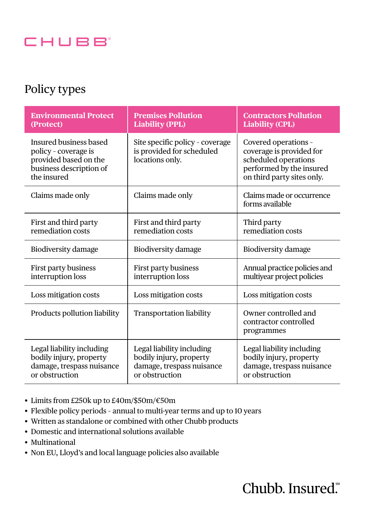

### Policy types

| <b>Environmental Protect</b><br>(Protect)                                                                         | <b>Premises Pollution</b><br><b>Liability (PPL)</b>                                                 | <b>Contractors Pollution</b><br><b>Liability (CPL)</b>                                                                             |  |
|-------------------------------------------------------------------------------------------------------------------|-----------------------------------------------------------------------------------------------------|------------------------------------------------------------------------------------------------------------------------------------|--|
| Insured business based<br>policy - coverage is<br>provided based on the<br>business description of<br>the insured | Site specific policy - coverage<br>is provided for scheduled<br>locations only.                     | Covered operations -<br>coverage is provided for<br>scheduled operations<br>performed by the insured<br>on third party sites only. |  |
| Claims made only                                                                                                  | Claims made only                                                                                    | Claims made or occurrence<br>forms available                                                                                       |  |
| First and third party<br>remediation costs                                                                        | First and third party<br>remediation costs                                                          | Third party<br>remediation costs                                                                                                   |  |
| Biodiversity damage                                                                                               | Biodiversity damage                                                                                 | Biodiversity damage                                                                                                                |  |
| First party business<br>interruption loss                                                                         | First party business<br>interruption loss                                                           | Annual practice policies and<br>multiyear project policies                                                                         |  |
| Loss mitigation costs                                                                                             | Loss mitigation costs                                                                               | Loss mitigation costs                                                                                                              |  |
| Products pollution liability                                                                                      | Transportation liability                                                                            | Owner controlled and<br>contractor controlled<br>programmes                                                                        |  |
| Legal liability including<br>bodily injury, property<br>damage, trespass nuisance<br>or obstruction               | Legal liability including<br>bodily injury, property<br>damage, trespass nuisance<br>or obstruction | Legal liability including<br>bodily injury, property<br>damage, trespass nuisance<br>or obstruction                                |  |

- Limits from £250k up to £40m/\$50m/€50m
- Flexible policy periods annual to multi-year terms and up to 10 years
- Written as standalone or combined with other Chubb products
- Domestic and international solutions available
- Multinational
- Non EU, Lloyd's and local language policies also available

# Chubb. Insured.